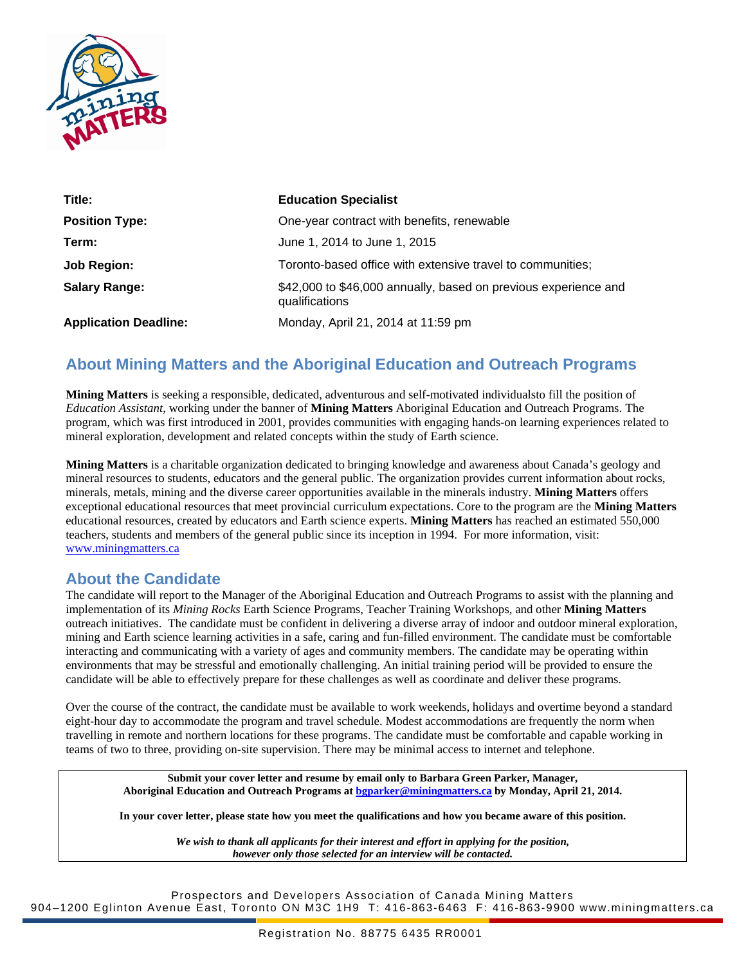

| Title:                       | <b>Education Specialist</b>                                                       |
|------------------------------|-----------------------------------------------------------------------------------|
| <b>Position Type:</b>        | One-year contract with benefits, renewable                                        |
| Term:                        | June 1, 2014 to June 1, 2015                                                      |
| Job Region:                  | Toronto-based office with extensive travel to communities;                        |
| <b>Salary Range:</b>         | \$42,000 to \$46,000 annually, based on previous experience and<br>qualifications |
| <b>Application Deadline:</b> | Monday, April 21, 2014 at 11:59 pm                                                |

# **About Mining Matters and the Aboriginal Education and Outreach Programs**

**Mining Matters** is seeking a responsible, dedicated, adventurous and self-motivated individualsto fill the position of *Education Assistant*, working under the banner of **Mining Matters** Aboriginal Education and Outreach Programs. The program, which was first introduced in 2001, provides communities with engaging hands-on learning experiences related to mineral exploration, development and related concepts within the study of Earth science.

**Mining Matters** is a charitable organization dedicated to bringing knowledge and awareness about Canada's geology and mineral resources to students, educators and the general public. The organization provides current information about rocks, minerals, metals, mining and the diverse career opportunities available in the minerals industry. **Mining Matters** offers exceptional educational resources that meet provincial curriculum expectations. Core to the program are the **Mining Matters**  educational resources, created by educators and Earth science experts. **Mining Matters** has reached an estimated 550,000 teachers, students and members of the general public since its inception in 1994. For more information, visit: [www.miningmatters.ca](http://www.miningmatters.ca/)

## **About the Candidate**

The candidate will report to the Manager of the Aboriginal Education and Outreach Programs to assist with the planning and implementation of its *Mining Rocks* Earth Science Programs, Teacher Training Workshops, and other **Mining Matters** outreach initiatives. The candidate must be confident in delivering a diverse array of indoor and outdoor mineral exploration, mining and Earth science learning activities in a safe, caring and fun-filled environment. The candidate must be comfortable interacting and communicating with a variety of ages and community members. The candidate may be operating within environments that may be stressful and emotionally challenging. An initial training period will be provided to ensure the candidate will be able to effectively prepare for these challenges as well as coordinate and deliver these programs.

Over the course of the contract, the candidate must be available to work weekends, holidays and overtime beyond a standard eight-hour day to accommodate the program and travel schedule. Modest accommodations are frequently the norm when travelling in remote and northern locations for these programs. The candidate must be comfortable and capable working in teams of two to three, providing on-site supervision. There may be minimal access to internet and telephone.

**Submit your cover letter and resume by email only to Barbara Green Parker, Manager, Aboriginal Education and Outreach Programs at [bgparker@miningmatters.ca](mailto:bgparker@miningmatters.ca) by Monday, April 21, 2014.**

**In your cover letter, please state how you meet the qualifications and how you became aware of this position.**

*We wish to thank all applicants for their interest and effort in applying for the position, however only those selected for an interview will be contacted.*

Prospectors and Developers Association of Canada Mining Matters 904–1200 Eglinton Avenue East, Toronto ON M3C 1H9 T: 416-863-6463 F: 416-863-9900 www.miningmatters.ca